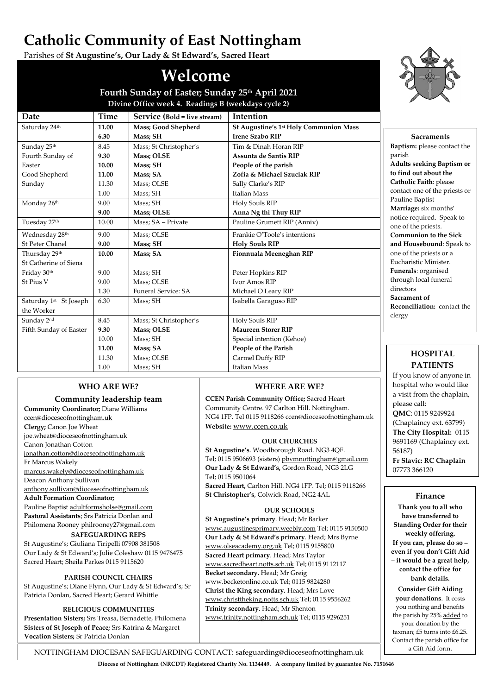# **Catholic Community of East Nottingham**

Parishes of **St Augustine's, Our Lady & St Edward's, Sacred Heart**

# **Welcome**

**Fourth Sunday of Easter; Sunday 25th April 2021 Divine Office week 4. Readings B (weekdays cycle 2)**

| Date                               | Time  | Service (Bold = live stream) | Intention                                          |
|------------------------------------|-------|------------------------------|----------------------------------------------------|
| Saturday 24th                      | 11.00 | Mass; Good Shepherd          | St Augustine's 1 <sup>st</sup> Holy Communion Mass |
|                                    | 6.30  | Mass; SH                     | <b>Irene Szabo RIP</b>                             |
| Sunday 25 <sup>th</sup>            | 8.45  | Mass; St Christopher's       | Tim & Dinah Horan RIP                              |
| Fourth Sunday of                   | 9.30  | Mass; OLSE                   | Assunta de Santis RIP                              |
| Easter                             | 10.00 | Mass; SH                     | People of the parish                               |
| Good Shepherd                      | 11.00 | Mass: SA                     | Zofia & Michael Szuciak RIP                        |
| Sunday                             | 11.30 | Mass; OLSE                   | Sally Clarke's RIP                                 |
|                                    | 1.00  | Mass; SH                     | <b>Italian Mass</b>                                |
| Monday 26th                        | 9.00  | Mass; SH                     | Holy Souls RIP                                     |
|                                    | 9.00  | <b>Mass</b> ; OLSE           | Anna Ng thi Thuy RIP                               |
| Tuesday 27th                       | 10.00 | Mass; SA - Private           | Pauline Grumett RIP (Anniv)                        |
| Wednesday 28th                     | 9.00  | Mass; OLSE                   | Frankie O'Toole's intentions                       |
| St Peter Chanel                    | 9.00  | Mass; SH                     | <b>Holy Souls RIP</b>                              |
| Thursday 29th                      | 10.00 | Mass; SA                     | Fionnuala Meeneghan RIP                            |
| St Catherine of Siena              |       |                              |                                                    |
| Friday 30th                        | 9.00  | Mass; SH                     | Peter Hopkins RIP                                  |
| St Pius V                          | 9.00  | Mass; OLSE                   | Ivor Amos RIP                                      |
|                                    | 1.30  | <b>Funeral Service: SA</b>   | Michael O Leary RIP                                |
| Saturday 1 <sup>st</sup> St Joseph | 6.30  | Mass; SH                     | Isabella Garaguso RIP                              |
| the Worker                         |       |                              |                                                    |
| Sunday 2nd                         | 8.45  | Mass; St Christopher's       | Holy Souls RIP                                     |
| Fifth Sunday of Easter             | 9.30  | <b>Mass</b> ; OLSE           | <b>Maureen Storer RIP</b>                          |
|                                    | 10.00 | Mass; SH                     | Special intention (Kehoe)                          |
|                                    | 11.00 | Mass; SA                     | People of the Parish                               |
|                                    | 11.30 | Mass; OLSE                   | Carmel Duffy RIP                                   |
|                                    | 1.00  | Mass; SH                     | <b>Italian Mass</b>                                |

# **WHO ARE WE?**

# **Community leadership team**

**Community Coordinator;** Diane Williams [ccen@dioceseofnottingham.uk](mailto:ccen@dioceseofnottingham.uk)

**Clergy;** Canon Joe Wheat

[joe.wheat@dioceseofnottingham.uk](mailto:joe.wheat@dioceseofnottingham.uk) Canon Jonathan Cotton

[jonathan.cotton@dioceseofnottingham.uk](mailto:jonathan.cotton@dioceseofnottingham.uk)

Fr Marcus Wakely

[marcus.wakely@dioceseofnottingham.uk](mailto:marcus.wakely@dioceseofnottingham.uk)

Deacon Anthony Sullivan [anthony.sullivan@dioceseofnottingham.uk](mailto:anthony.sullivan@dioceseofnottingham.uk)

**Adult Formation Coordinator;** Pauline Baptis[t adultformsholse@gmail.com](mailto:adultformsholse@gmail.com)

**Pastoral Assistants**; Srs Patricia Donlan and Philomena Roone[y philrooney27@gmail.com](mailto:philrooney27@gmail.com)

# **SAFEGUARDING REPS**

St Augustine's; Giuliana Tiripelli 07908 381508 Our Lady & St Edward's; Julie Coleshaw 0115 9476475 Sacred Heart; Sheila Parkes 0115 9115620

# **PARISH COUNCIL CHAIRS**

St Augustine's; Diane Flynn, Our Lady & St Edward's; Sr Patricia Donlan, Sacred Heart; Gerard Whittle

#### **RELIGIOUS COMMUNITIES**

**Presentation Sisters;** Srs Treasa, Bernadette, Philomena **Sisters of St Joseph of Peace;** Srs Katrina & Margaret **Vocation Sisters;** Sr Patricia Donlan

# **WHERE ARE WE?**

**CCEN Parish Community Office;** Sacred Heart Community Centre. 97 Carlton Hill. Nottingham. NG4 1FP. Tel 0115 911826[6 ccen@dioceseofnottingham.uk](mailto:ccen@dioceseofnottingham.uk) **Website:** [www.ccen.co.uk](http://www.ccen.co.uk/)

#### **OUR CHURCHES**

**St Augustine's**. Woodborough Road. NG3 4QF. Tel; 0115 9506693 (sisters[\) pbvmnottingham@gmail.com](mailto:pbvmnottingham@gmail.com) **Our Lady & St Edward's,** Gordon Road, NG3 2LG Tel; 0115 9501064

**Sacred Heart,** Carlton Hill. NG4 1FP. Tel; 0115 9118266 **St Christopher's**, Colwick Road, NG2 4AL

# **OUR SCHOOLS**

**St Augustine's primary**. Head; Mr Barker [www.augustinesprimary.weebly.com](http://www.augustinesprimary.weebly.com/) Tel; 0115 9150500 **Our Lady & St Edward's primary**. Head; Mrs Byrne [www.olseacademy.org.uk](http://www.olseacademy.org.uk/) Tel; 0115 9155800 **Sacred Heart primary**. Head; Mrs Taylor [www.sacredheart.notts.sch.uk](http://www.sacredheart.notts.sch.uk/) Tel; 0115 9112117 **Becket secondary.** Head; Mr Greig [www.becketonline.co.uk](http://www.becketonline.co.uk/) Tel; 0115 9824280 **Christ the King secondary.** Head; Mrs Love [www.christtheking.notts.sch.uk](http://www.christtheking.notts.sch.uk/) Tel; 0115 9556262 **Trinity secondary**. Head; Mr Shenton [www.trinity.nottingham.sch.uk](http://www.trinity.nottingham.sch.uk/) Tel; 0115 9296251



**Sacraments Baptism:** please contact the parish **Adults seeking Baptism or to find out about the Catholic Faith**: please contact one of the priests or Pauline Baptist **Marriage:** six months' notice required. Speak to one of the priests. **Communion to the Sick and Housebound**: Speak to one of the priests or a Eucharistic Minister. **Funerals**: organised through local funeral directors **Sacrament of Reconciliation:** contact the clergy

# **HOSPITAL PATIENTS**

If you know of anyone in hospital who would like a visit from the chaplain, please call: **QMC**: 0115 9249924 (Chaplaincy ext. 63799) **The City Hospital:** 0115 9691169 (Chaplaincy ext. 56187) **Fr Slavic: RC Chaplain** 07773 366120

# **Finance**

**Thank you to all who have transferred to Standing Order for their weekly offering. If you can, please do so – even if you don't Gift Aid – it would be a great help, contact the office for bank details.**

**Consider Gift Aiding your donations**. It costs you nothing and benefits the parish by 25% added to your donation by the taxman; £5 turns into £6.25. Contact the parish office for a Gift Aid form.

NOTTINGHAM DIOCESAN SAFEGUARDING CONTACT: safeguarding@dioceseofnottingham.uk

**Diocese of Nottingham (NRCDT) Registered Charity No. 1134449. A company limited by guarantee No. 7151646**